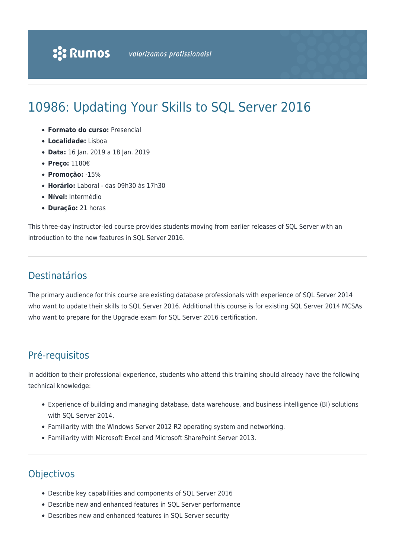# 10986: Updating Your Skills to SQL Server 2016

- **Formato do curso:** Presencial
- **Localidade:** Lisboa
- **Data:** 16 Jan. 2019 a 18 Jan. 2019
- **Preço:** 1180€
- **Promoção:** -15%
- **Horário:** Laboral das 09h30 às 17h30
- **Nível:** Intermédio
- **Duração:** 21 horas

This three-day instructor-led course provides students moving from earlier releases of SQL Server with an introduction to the new features in SQL Server 2016.

# Destinatários

The primary audience for this course are existing database professionals with experience of SQL Server 2014 who want to update their skills to SQL Server 2016. Additional this course is for existing SQL Server 2014 MCSAs who want to prepare for the Upgrade exam for SQL Server 2016 certification.

# Pré-requisitos

In addition to their professional experience, students who attend this training should already have the following technical knowledge:

- Experience of building and managing database, data warehouse, and business intelligence (BI) solutions with SQL Server 2014.
- Familiarity with the Windows Server 2012 R2 operating system and networking.
- Familiarity with Microsoft Excel and Microsoft SharePoint Server 2013.

# **Objectivos**

- Describe key capabilities and components of SQL Server 2016
- Describe new and enhanced features in SQL Server performance
- Describes new and enhanced features in SQL Server security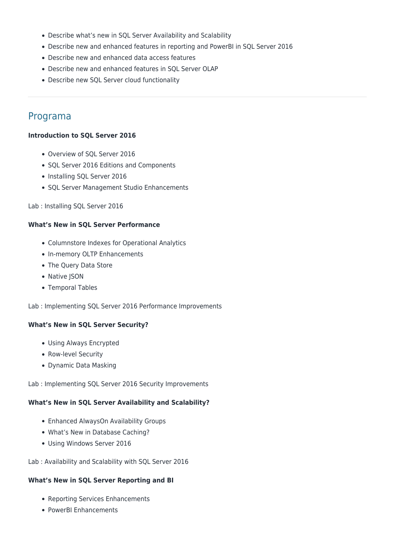- Describe what's new in SQL Server Availability and Scalability
- Describe new and enhanced features in reporting and PowerBI in SQL Server 2016
- Describe new and enhanced data access features
- Describe new and enhanced features in SQL Server OLAP
- Describe new SQL Server cloud functionality

## Programa

#### **Introduction to SQL Server 2016**

- Overview of SQL Server 2016
- SQL Server 2016 Editions and Components
- Installing SQL Server 2016
- SQL Server Management Studio Enhancements

#### Lab : Installing SQL Server 2016

#### **What's New in SQL Server Performance**

- Columnstore Indexes for Operational Analytics
- In-memory OLTP Enhancements
- The Query Data Store
- Native JSON
- Temporal Tables

Lab : Implementing SQL Server 2016 Performance Improvements

#### **What's New in SQL Server Security?**

- Using Always Encrypted
- Row-level Security
- Dynamic Data Masking

Lab : Implementing SQL Server 2016 Security Improvements

#### **What's New in SQL Server Availability and Scalability?**

- Enhanced AlwaysOn Availability Groups
- What's New in Database Caching?
- Using Windows Server 2016

Lab : Availability and Scalability with SQL Server 2016

#### **What's New in SQL Server Reporting and BI**

- Reporting Services Enhancements
- PowerBI Enhancements